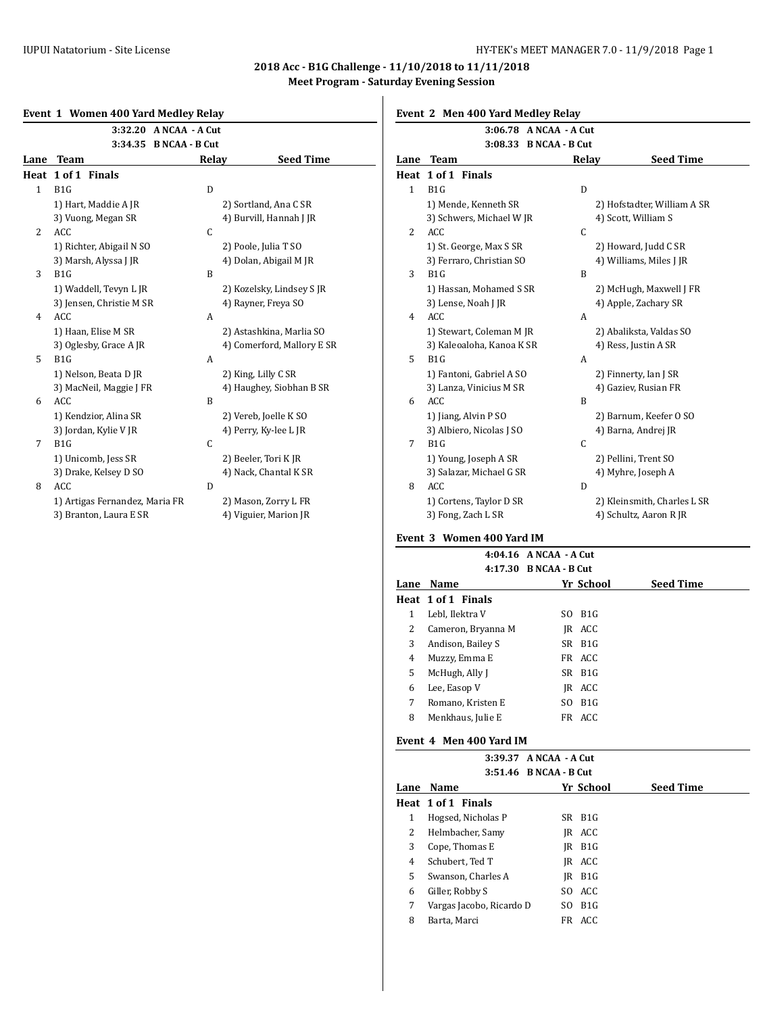## **2018 Acc - B1G Challenge - 11/10/2018 to 11/11/2018 Meet Program - Saturday Evening Session**

|  | Event 1 Women 400 Yard Medley Relay |  |  |
|--|-------------------------------------|--|--|
|  |                                     |  |  |

|              | 3:32.20 A NCAA - A Cut         |              |                            |                |                    |  |  |
|--------------|--------------------------------|--------------|----------------------------|----------------|--------------------|--|--|
| Lane         | 3:34.35 B NCAA - B Cut<br>Team | Relay        | <b>Seed Time</b>           | Lane           | 3<br><b>Team</b>   |  |  |
|              | Heat 1 of 1 Finals             |              |                            |                | Heat 1 of 1 Finals |  |  |
| $\mathbf{1}$ | B1G                            | D            |                            | $\mathbf{1}$   | B1G                |  |  |
|              | 1) Hart, Maddie A JR           |              | 2) Sortland, Ana C SR      |                | 1) Mende, Ken      |  |  |
|              | 3) Vuong, Megan SR             |              | 4) Burvill, Hannah J JR    |                | 3) Schwers, Mi     |  |  |
| 2            | ACC                            | $\mathsf{C}$ |                            | 2              | ACC                |  |  |
|              | 1) Richter, Abigail N SO       |              | 2) Poole, Julia T SO       |                | 1) St. George, M   |  |  |
|              | 3) Marsh, Alyssa J JR          |              | 4) Dolan, Abigail M JR     |                | 3) Ferraro, Chr    |  |  |
| 3            | B <sub>1</sub> G               | B            |                            | 3              | B1G                |  |  |
|              | 1) Waddell, Tevyn L JR         |              | 2) Kozelsky, Lindsey SJR   |                | 1) Hassan, Moł     |  |  |
|              | 3) Jensen, Christie M SR       |              | 4) Rayner, Freya SO        |                | 3) Lense, Noah     |  |  |
| 4            | <b>ACC</b>                     | A            |                            | $\overline{4}$ | <b>ACC</b>         |  |  |
|              | 1) Haan, Elise M SR            |              | 2) Astashkina, Marlia SO   |                | 1) Stewart, Col    |  |  |
|              | 3) Oglesby, Grace A JR         |              | 4) Comerford, Mallory E SR |                | 3) Kaleoaloha,     |  |  |
| 5            | B1G                            | A            |                            | 5              | B1G                |  |  |
|              | 1) Nelson, Beata D JR          |              | 2) King, Lilly C SR        |                | 1) Fantoni, Gab    |  |  |
|              | 3) MacNeil, Maggie J FR        |              | 4) Haughey, Siobhan B SR   |                | 3) Lanza, Vinic    |  |  |
| 6            | <b>ACC</b>                     | B            |                            | 6              | <b>ACC</b>         |  |  |
|              | 1) Kendzior, Alina SR          |              | 2) Vereb, Joelle K SO      |                | 1) Jiang, Alvin    |  |  |
|              | 3) Jordan, Kylie V JR          |              | 4) Perry, Ky-lee L JR      |                | 3) Albiero, Nico   |  |  |
| 7            | B1G                            | $\mathsf C$  |                            | 7              | B1G                |  |  |
|              | 1) Unicomb, Jess SR            |              | 2) Beeler, Tori K JR       |                | 1) Young, Josep    |  |  |
|              | 3) Drake, Kelsey D SO          |              | 4) Nack, Chantal K SR      |                | 3) Salazar, Micl   |  |  |
| 8            | <b>ACC</b>                     | D            |                            | 8              | <b>ACC</b>         |  |  |
|              | 1) Artigas Fernandez, Maria FR |              | 2) Mason, Zorry L FR       |                | 1) Cortens, Tay    |  |  |
|              | 3) Branton, Laura E SR         |              | 4) Viguier, Marion JR      |                | 3) Fong, Zach L    |  |  |

# **Event 2 Men 400 Yard Medley Relay**

|              | 3:06.78 A NCAA - A Cut    |       |                             |
|--------------|---------------------------|-------|-----------------------------|
|              | 3:08.33 B NCAA - B Cut    |       |                             |
| Lane         | <b>Team</b>               | Relay | <b>Seed Time</b>            |
|              | Heat 1 of 1 Finals        |       |                             |
| $\mathbf{1}$ | B <sub>1</sub> G          | D     |                             |
|              | 1) Mende, Kenneth SR      |       | 2) Hofstadter, William A SR |
|              | 3) Schwers, Michael W JR  |       | 4) Scott, William S         |
| 2            | ACC                       | C     |                             |
|              | 1) St. George, Max S SR   |       | 2) Howard, Judd C SR        |
|              | 3) Ferraro, Christian SO  |       | 4) Williams, Miles J JR     |
| 3            | B1G                       | B     |                             |
|              | 1) Hassan, Mohamed S SR   |       | 2) McHugh, Maxwell J FR     |
|              | 3) Lense, Noah J JR       |       | 4) Apple, Zachary SR        |
| 4            | <b>ACC</b>                | A     |                             |
|              | 1) Stewart, Coleman M JR  |       | 2) Abaliksta, Valdas SO     |
|              | 3) Kaleoaloha, Kanoa K SR |       | 4) Ress, Justin A SR        |
| 5            | B1G                       | A     |                             |
|              | 1) Fantoni, Gabriel A SO  |       | 2) Finnerty, Ian J SR       |
|              | 3) Lanza, Vinicius M SR   |       | 4) Gaziev, Rusian FR        |
| 6            | <b>ACC</b>                | B     |                             |
|              | 1) Jiang, Alvin P SO      |       | 2) Barnum, Keefer 0 SO      |
|              | 3) Albiero, Nicolas J SO  |       | 4) Barna, Andrej JR         |
| 7            | B <sub>1</sub> G          | C     |                             |
|              | 1) Young, Joseph A SR     |       | 2) Pellini, Trent SO        |
|              | 3) Salazar, Michael G SR  |       | 4) Myhre, Joseph A          |
| 8            | ACC                       | D     |                             |
|              | 1) Cortens, Taylor D SR   |       | 2) Kleinsmith, Charles L SR |
|              | 3) Fong, Zach L SR        |       | 4) Schultz, Aaron R JR      |

## **Event 3 Women 400 Yard IM**

|      |                    | $4:04.16$ ANCAA - A Cut |            |                  |
|------|--------------------|-------------------------|------------|------------------|
|      |                    | 4:17.30 B NCAA - B Cut  |            |                  |
| Lane | <b>Name</b>        |                         | Yr School  | <b>Seed Time</b> |
|      | Heat 1 of 1 Finals |                         |            |                  |
| 1    | Lebl, Ilektra V    |                         | SO B1G     |                  |
| 2    | Cameron, Bryanna M |                         | IR ACC     |                  |
| 3    | Andison, Bailey S  |                         | $SR$ $B1G$ |                  |
| 4    | Muzzy, Emma E      |                         | FR ACC     |                  |
| 5    | McHugh, Ally J     |                         | SR B1G     |                  |
| 6    | Lee, Easop V       |                         | IR ACC     |                  |
| 7    | Romano, Kristen E  |                         | SO B1G     |                  |
| 8    | Menkhaus, Julie E  |                         | FR ACC     |                  |

## **Event 4 Men 400 Yard IM**

|      |                          | 3:39.37 A NCAA - A Cut |                  |
|------|--------------------------|------------------------|------------------|
|      |                          | 3:51.46 B NCAA - B Cut |                  |
| Lane | Name                     | Yr School              | <b>Seed Time</b> |
|      | Heat 1 of 1 Finals       |                        |                  |
| 1    | Hogsed, Nicholas P       | SR B <sub>1G</sub>     |                  |
| 2    | Helmbacher, Samy         | IR ACC                 |                  |
| 3    | Cope, Thomas E           | IR B1G                 |                  |
| 4    | Schubert, Ted T          | IR ACC                 |                  |
| 5.   | Swanson, Charles A       | IR B1G                 |                  |
| 6    | Giller, Robby S          | SO ACC                 |                  |
| 7    | Vargas Jacobo, Ricardo D | B1G<br>SO.             |                  |
| 8    | Barta, Marci             | ACC<br>FR              |                  |
|      |                          |                        |                  |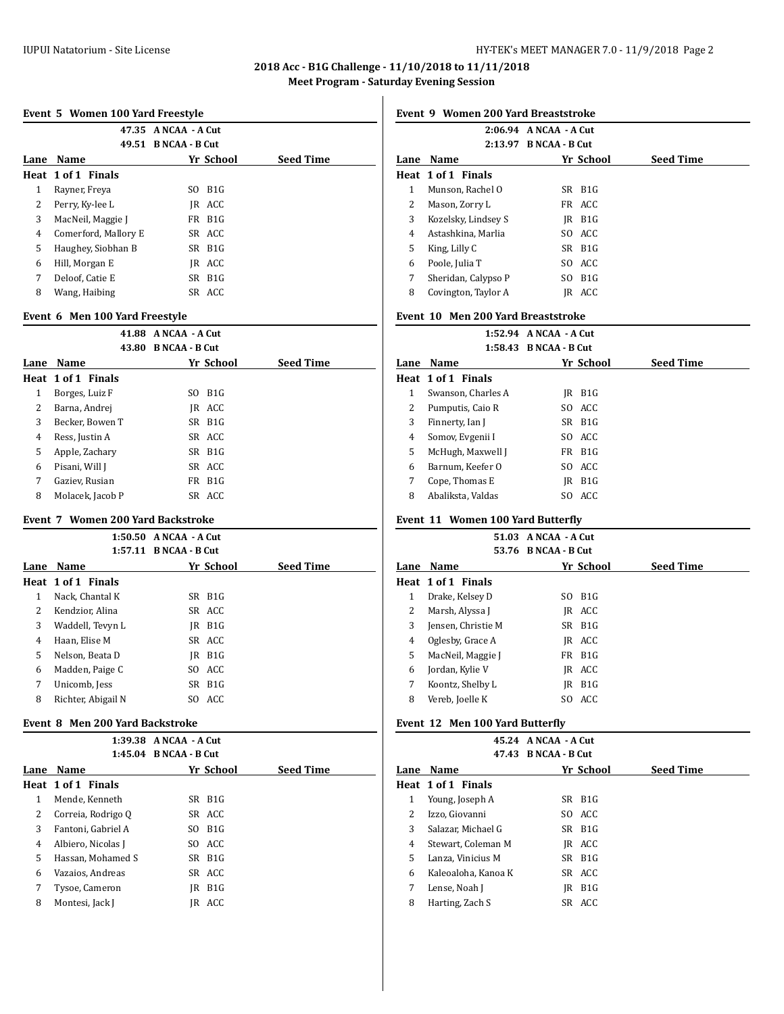## **2018 Acc - B1G Challenge - 11/10/2018 to 11/11/2018 Meet Program - Saturday Evening Session**

## **Event 5 Women 100 Yard Freestyle**

|      |                      | 47.35 A NCAA - A Cut |                  |
|------|----------------------|----------------------|------------------|
|      |                      | 49.51 B NCAA - B Cut |                  |
| Lane | Name                 | Yr School            | <b>Seed Time</b> |
|      | Heat 1 of 1 Finals   |                      |                  |
| 1    | Rayner, Freya        | B1G<br>SO.           |                  |
| 2    | Perry, Ky-lee L      | IR ACC               |                  |
| 3    | MacNeil, Maggie J    | FR B1G               |                  |
| 4    | Comerford, Mallory E | SR ACC               |                  |
| 5    | Haughey, Siobhan B   | $SR$ $B1G$           |                  |
| 6    | Hill, Morgan E       | IR ACC               |                  |
| 7    | Deloof, Catie E      | SR B1G               |                  |
| 8    | Wang, Haibing        | SR ACC               |                  |
|      |                      |                      |                  |

#### **Event 6 Men 100 Yard Freestyle**

| 41.88              | A NCAA - A Cut               |                  |
|--------------------|------------------------------|------------------|
| 43.80              | <b>B</b> NCAA - <b>B</b> Cut |                  |
| Name               | Yr School                    | <b>Seed Time</b> |
| Heat 1 of 1 Finals |                              |                  |
| Borges, Luiz F     | B1G<br>SO.                   |                  |
| Barna, Andrej      | IR ACC                       |                  |
| Becker, Bowen T    | $SR$ $B1G$                   |                  |
| Ress, Justin A     | SR ACC                       |                  |
| Apple, Zachary     | SR B1G                       |                  |
| Pisani, Will J     | SR ACC                       |                  |
| Gaziev, Rusian     | B1G<br>FR                    |                  |
| Molacek, Jacob P   | SR ACC                       |                  |
|                    |                              |                  |

#### **Event 7 Women 200 Yard Backstroke**

|      |                    | $1:50.50$ ANCAA - A Cut |            |                  |
|------|--------------------|-------------------------|------------|------------------|
|      |                    | 1:57.11 B NCAA - B Cut  |            |                  |
| Lane | Name               |                         | Yr School  | <b>Seed Time</b> |
|      | Heat 1 of 1 Finals |                         |            |                  |
| 1    | Nack, Chantal K    |                         | $SR$ $B1G$ |                  |
| 2    | Kendzior, Alina    |                         | SR ACC     |                  |
| 3    | Waddell, Tevyn L   |                         | IR B1G     |                  |
| 4    | Haan, Elise M      |                         | SR ACC     |                  |
| 5    | Nelson, Beata D    |                         | IR B1G     |                  |
| 6    | Madden, Paige C    |                         | SO ACC     |                  |
| 7    | Unicomb, Jess      |                         | SR B1G     |                  |
| 8    | Richter, Abigail N |                         | SO ACC     |                  |
|      |                    |                         |            |                  |

#### **Event 8 Men 200 Yard Backstroke**

|      |                    | 1:39.38 A NCAA - A Cut |           |                  |  |
|------|--------------------|------------------------|-----------|------------------|--|
|      |                    | 1:45.04 B NCAA - B Cut |           |                  |  |
| Lane | Name               |                        | Yr School | <b>Seed Time</b> |  |
|      | Heat 1 of 1 Finals |                        |           |                  |  |
| 1    | Mende, Kenneth     |                        | SR B1G    |                  |  |
| 2    | Correia, Rodrigo Q |                        | SR ACC    |                  |  |
| 3    | Fantoni. Gabriel A |                        | SO B1G    |                  |  |
| 4    | Albiero, Nicolas J |                        | SO ACC    |                  |  |
| 5    | Hassan. Mohamed S  |                        | SR B1G    |                  |  |
| 6    | Vazaios, Andreas   |                        | SR ACC    |                  |  |
| 7    | Tysoe, Cameron     | IR                     | B1G       |                  |  |
| 8    | Montesi, Jack J    | IR                     | ACC       |                  |  |
|      |                    |                        |           |                  |  |

## **Event 9 Women 200 Yard Breaststroke**

|                     | 2:06.94 A NCAA - A Cut |                                                                                                                                    |
|---------------------|------------------------|------------------------------------------------------------------------------------------------------------------------------------|
| 2:13.97             |                        |                                                                                                                                    |
| <b>Name</b>         |                        | <b>Seed Time</b>                                                                                                                   |
| Heat 1 of 1 Finals  |                        |                                                                                                                                    |
| Munson, Rachel O    |                        |                                                                                                                                    |
| Mason, Zorry L      |                        |                                                                                                                                    |
| Kozelsky, Lindsey S |                        |                                                                                                                                    |
| Astashkina, Marlia  |                        |                                                                                                                                    |
| King, Lilly C       |                        |                                                                                                                                    |
| Poole, Julia T      |                        |                                                                                                                                    |
| Sheridan, Calypso P |                        |                                                                                                                                    |
| Covington, Taylor A |                        |                                                                                                                                    |
|                     |                        | <b>B NCAA - B Cut</b><br>Yr School<br>SR B <sub>1G</sub><br>FR ACC<br>IR B1G<br>SO ACC<br>$SR$ $B1G$<br>SO ACC<br>SO B1G<br>IR ACC |

#### **Event 10 Men 200 Yard Breaststroke**

|      |                    | 1:52.94 A NCAA - A Cut |                    |                  |
|------|--------------------|------------------------|--------------------|------------------|
|      |                    | 1:58.43 B NCAA - B Cut |                    |                  |
| Lane | Name               |                        | Yr School          | <b>Seed Time</b> |
|      | Heat 1 of 1 Finals |                        |                    |                  |
| 1    | Swanson, Charles A | IR                     | B1G                |                  |
| 2    | Pumputis, Caio R   |                        | SO ACC             |                  |
| 3    | Finnerty, Ian J    |                        | $SR$ $B1G$         |                  |
| 4    | Somov, Evgenii I   |                        | SO ACC             |                  |
| 5    | McHugh, Maxwell J  |                        | FR B <sub>1G</sub> |                  |
| 6    | Barnum, Keefer O   |                        | SO ACC             |                  |
| 7    | Cope, Thomas E     | IR                     | B1G                |                  |
| 8    | Abaliksta, Valdas  |                        | SO ACC             |                  |

#### **Event 11 Women 100 Yard Butterfly**

|      |                    | 51.03 A NCAA - A Cut<br>53.76 B NCAA - B Cut |                  |                  |
|------|--------------------|----------------------------------------------|------------------|------------------|
| Lane | Name               |                                              | Yr School        | <b>Seed Time</b> |
|      | Heat 1 of 1 Finals |                                              |                  |                  |
| 1    | Drake, Kelsey D    | SO.                                          | B1G              |                  |
| 2    | Marsh, Alyssa J    |                                              | IR ACC           |                  |
| 3    | Jensen, Christie M |                                              | $SR$ $B1G$       |                  |
| 4    | Oglesby, Grace A   |                                              | IR ACC           |                  |
| 5    | MacNeil, Maggie J  |                                              | FR B1G           |                  |
| 6    | Jordan, Kylie V    |                                              | IR ACC           |                  |
| 7    | Koontz, Shelby L   | IR                                           | B <sub>1</sub> G |                  |
| 8    | Vereb, Joelle K    | SO.                                          | ACC              |                  |
|      |                    |                                              |                  |                  |

## **Event 12 Men 100 Yard Butterfly**

|      |                     | 45.24 A NCAA - A Cut |           |                  |
|------|---------------------|----------------------|-----------|------------------|
|      |                     | 47.43 B NCAA - B Cut |           |                  |
| Lane | <b>Name</b>         |                      | Yr School | <b>Seed Time</b> |
|      | Heat 1 of 1 Finals  |                      |           |                  |
| 1    | Young, Joseph A     | SR B <sub>1G</sub>   |           |                  |
| 2    | Izzo. Giovanni      | SO ACC               |           |                  |
| 3    | Salazar, Michael G  | SR B1G               |           |                  |
| 4    | Stewart, Coleman M  | IR ACC               |           |                  |
| 5    | Lanza. Vinicius M   | SR B <sub>1G</sub>   |           |                  |
| 6    | Kaleoaloha, Kanoa K | SR ACC               |           |                  |
| 7    | Lense, Noah J       | IR                   | B1G       |                  |
| 8    | Harting, Zach S     | SR ACC               |           |                  |
|      |                     |                      |           |                  |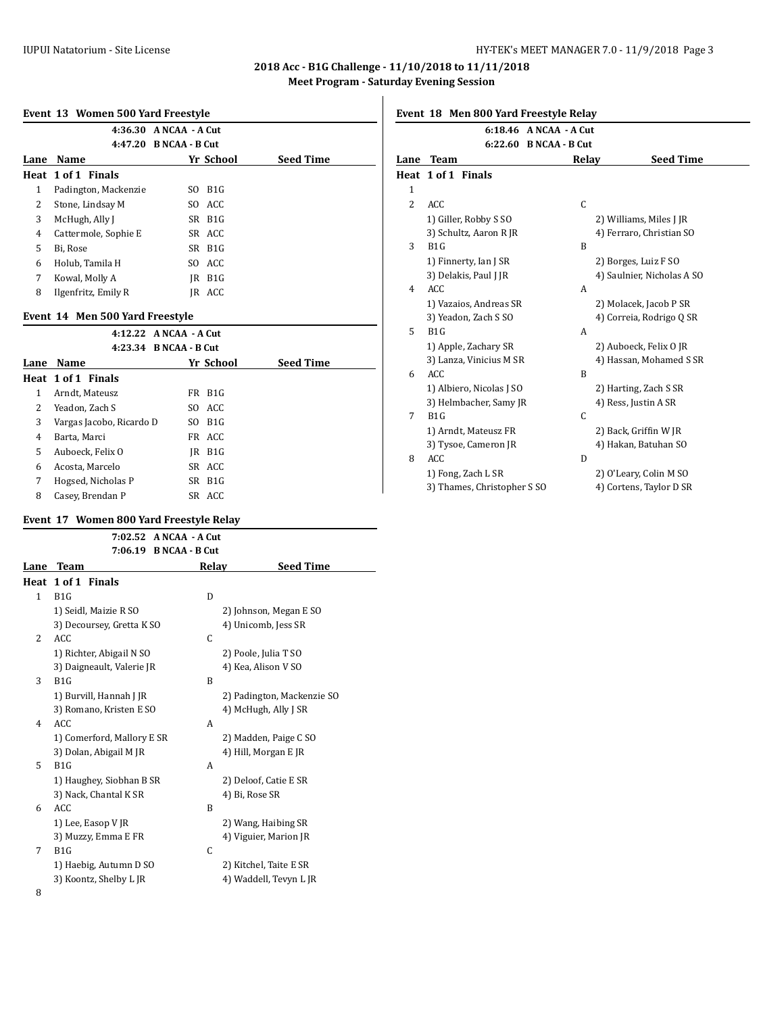## **2018 Acc - B1G Challenge - 11/10/2018 to 11/11/2018 Meet Program - Saturday Evening Session**

## **Event 13 Women 500 Yard Freestyle**

|      |                      | 4:36.30 A NCAA - A Cut |                  |                  |
|------|----------------------|------------------------|------------------|------------------|
|      |                      | 4:47.20 B NCAA - B Cut |                  |                  |
| Lane | Name                 | Yr School              |                  | <b>Seed Time</b> |
|      | Heat 1 of 1 Finals   |                        |                  |                  |
| 1    | Padington, Mackenzie | SO.                    | B <sub>1</sub> G |                  |
| 2    | Stone, Lindsay M     | SO ACC                 |                  |                  |
| 3    | McHugh, Ally J       | SR B1G                 |                  |                  |
| 4    | Cattermole, Sophie E | SR ACC                 |                  |                  |
| 5    | Bi, Rose             | SR B1G                 |                  |                  |
| 6    | Holub, Tamila H      | SO ACC                 |                  |                  |
| 7    | Kowal, Molly A       | IR                     | B1G              |                  |
| 8    | Ilgenfritz, Emily R  | IR                     | ACC              |                  |

## **Event 14 Men 500 Yard Freestyle**

|      | 4:12.22 A NCAA - A Cut   |                     |                  |
|------|--------------------------|---------------------|------------------|
|      | 4:23.34 B NCAA - B Cut   |                     |                  |
| Lane | Name                     | Yr School           | <b>Seed Time</b> |
|      | Heat 1 of 1 Finals       |                     |                  |
| 1    | Arndt, Mateusz           | FR B <sub>1G</sub>  |                  |
| 2    | Yeadon, Zach S           | SO ACC              |                  |
| 3    | Vargas Jacobo, Ricardo D | SO B <sub>1</sub> G |                  |
| 4    | Barta, Marci             | FR ACC              |                  |
| 5    | Auboeck, Felix O         | IR B1G              |                  |
| 6    | Acosta, Marcelo          | SR ACC              |                  |
| 7    | Hogsed, Nicholas P       | $SR$ $B1G$          |                  |
| 8    | Casey, Brendan P         | SR ACC              |                  |

#### **Event 17 Women 800 Yard Freestyle Relay**

|              |                            | 7:02.52 A NCAA - A Cut |                            |
|--------------|----------------------------|------------------------|----------------------------|
|              |                            | 7:06.19 B NCAA - B Cut |                            |
| Lane         | Team                       | Relay                  | <b>Seed Time</b>           |
|              | Heat 1 of 1 Finals         |                        |                            |
| $\mathbf{1}$ | B1G                        | D                      |                            |
|              | 1) Seidl, Maizie R SO      |                        | 2) Johnson, Megan E SO     |
|              | 3) Decoursey, Gretta K SO  |                        | 4) Unicomb, Jess SR        |
| 2            | <b>ACC</b>                 | C                      |                            |
|              | 1) Richter, Abigail N SO   |                        | 2) Poole, Julia T SO       |
|              | 3) Daigneault, Valerie JR  |                        | 4) Kea, Alison V SO        |
| 3            | B1G                        | B                      |                            |
|              | 1) Burvill, Hannah J JR    |                        | 2) Padington, Mackenzie SO |
|              | 3) Romano, Kristen E SO    |                        | 4) McHugh, Ally J SR       |
| 4            | ACC                        | A                      |                            |
|              | 1) Comerford, Mallory E SR |                        | 2) Madden, Paige C SO      |
|              | 3) Dolan, Abigail M JR     |                        | 4) Hill, Morgan E JR       |
| 5            | B <sub>1</sub> G           | A                      |                            |
|              | 1) Haughey, Siobhan B SR   |                        | 2) Deloof, Catie E SR      |
|              | 3) Nack, Chantal K SR      |                        | 4) Bi, Rose SR             |
| 6            | <b>ACC</b>                 | B                      |                            |
|              | 1) Lee, Easop V JR         |                        | 2) Wang, Haibing SR        |
|              | 3) Muzzy, Emma E FR        |                        | 4) Viguier, Marion JR      |
| 7            | B1G                        | C                      |                            |
|              | 1) Haebig, Autumn D SO     |                        | 2) Kitchel, Taite E SR     |
|              | 3) Koontz, Shelby L JR     |                        | 4) Waddell, Tevyn L JR     |
| 8            |                            |                        |                            |

|  |  | Event 18 Men 800 Yard Freestyle Relay |  |  |  |
|--|--|---------------------------------------|--|--|--|
|--|--|---------------------------------------|--|--|--|

|                | EVEIN TO MEN OUV TAIU FITESLYJE KEIAY |                        |                            |
|----------------|---------------------------------------|------------------------|----------------------------|
|                |                                       | 6:18.46 A NCAA - A Cut |                            |
|                |                                       | 6:22.60 B NCAA - B Cut |                            |
| Lane           | <b>Team</b>                           | Relay                  | <b>Seed Time</b>           |
|                | Heat 1 of 1 Finals                    |                        |                            |
| $\mathbf{1}$   |                                       |                        |                            |
| $\overline{c}$ | <b>ACC</b>                            | C                      |                            |
|                | 1) Giller, Robby S SO                 |                        | 2) Williams, Miles J JR    |
|                | 3) Schultz, Aaron R JR                |                        | 4) Ferraro, Christian SO   |
| 3              | B1G                                   | B                      |                            |
|                | 1) Finnerty, Ian J SR                 |                        | 2) Borges, Luiz F SO       |
|                | 3) Delakis, Paul J JR                 |                        | 4) Saulnier, Nicholas A SO |
| 4              | ACC                                   | A                      |                            |
|                | 1) Vazaios, Andreas SR                |                        | 2) Molacek, Jacob P SR     |
|                | 3) Yeadon, Zach S SO                  |                        | 4) Correia, Rodrigo Q SR   |
| 5              | B <sub>1</sub> G                      | A                      |                            |
|                | 1) Apple, Zachary SR                  |                        | 2) Auboeck, Felix O JR     |
|                | 3) Lanza, Vinicius M SR               |                        | 4) Hassan, Mohamed S SR    |
| 6              | <b>ACC</b>                            | B                      |                            |
|                | 1) Albiero, Nicolas J SO              |                        | 2) Harting, Zach S SR      |
|                | 3) Helmbacher, Samy JR                |                        | 4) Ress, Justin A SR       |
| 7              | B <sub>1</sub> G                      | C                      |                            |
|                | 1) Arndt, Mateusz FR                  |                        | 2) Back, Griffin W JR      |
|                | 3) Tysoe, Cameron JR                  |                        | 4) Hakan, Batuhan SO       |
| 8              | <b>ACC</b>                            | D                      |                            |
|                | 1) Fong, Zach L SR                    |                        | 2) O'Leary, Colin M SO     |
|                | 3) Thames, Christopher S SO           |                        | 4) Cortens, Taylor D SR    |
|                |                                       |                        |                            |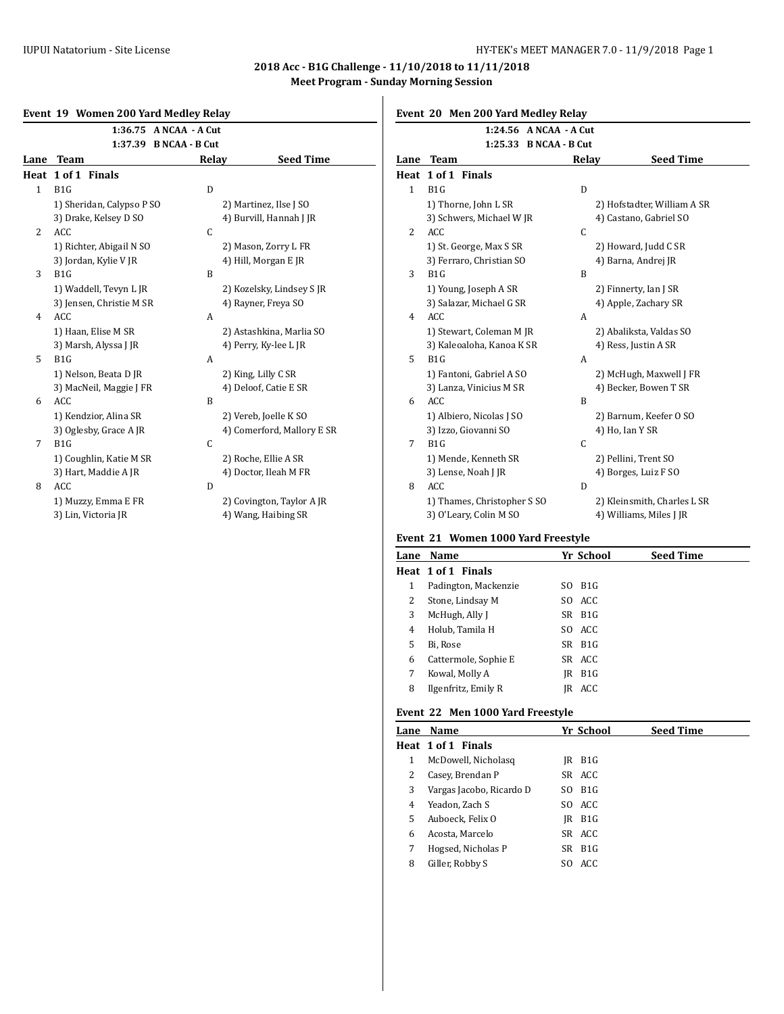## **2018 Acc - B1G Challenge - 11/10/2018 to 11/11/2018 Meet Program - Sunday Morning Session**

## **Event 19 Women 200 Yard Medley Relay**

|                | Event 19 Women 200 Taru Meurcy Relay |       |                            | LVCIIL LU      |                  |
|----------------|--------------------------------------|-------|----------------------------|----------------|------------------|
|                | 1:36.75 A NCAA - A Cut               |       |                            |                |                  |
|                | 1:37.39 B NCAA - B Cut               |       |                            |                |                  |
| Lane           | <b>Team</b>                          | Relay | <b>Seed Time</b>           | Lane           | <b>Tea</b>       |
|                | Heat 1 of 1 Finals                   |       |                            | Heat           | 1 of             |
| $\mathbf{1}$   | B1G                                  | D     |                            | $\mathbf{1}$   | B <sub>1</sub> G |
|                | 1) Sheridan, Calypso P SO            |       | 2) Martinez, Ilse J SO     |                | $1)$ Th          |
|                | 3) Drake, Kelsey D SO                |       | 4) Burvill, Hannah J JR    |                | 3) Sc            |
| $\overline{2}$ | <b>ACC</b>                           | C     |                            | $\overline{2}$ | ACC              |
|                | 1) Richter, Abigail N SO             |       | 2) Mason, Zorry L FR       |                | 1) St.           |
|                | 3) Jordan, Kylie V JR                |       | 4) Hill, Morgan E JR       |                | 3) Fe            |
| 3              | B <sub>1</sub> G                     | B     |                            | 3              | B1G              |
|                | 1) Waddell, Tevyn L JR               |       | 2) Kozelsky, Lindsey SJR   |                | 1) Yo            |
|                | 3) Jensen, Christie M SR             |       | 4) Rayner, Freya SO        |                | 3) Sa            |
| 4              | <b>ACC</b>                           | A     |                            | $\overline{4}$ | ACC              |
|                | 1) Haan, Elise M SR                  |       | 2) Astashkina, Marlia SO   |                | $1)$ St          |
|                | 3) Marsh, Alyssa J JR                |       | 4) Perry, Ky-lee L JR      |                | 3) Ka            |
| 5              | B <sub>1</sub> G                     | A     |                            | 5              | B1G              |
|                | 1) Nelson, Beata D JR                |       | 2) King, Lilly C SR        |                | 1) Fa            |
|                | 3) MacNeil, Maggie J FR              |       | 4) Deloof, Catie E SR      |                | 3) La            |
| 6              | ACC                                  | B     |                            | 6              | ACC              |
|                | 1) Kendzior, Alina SR                |       | 2) Vereb, Joelle K SO      |                | $1)$ Al          |
|                | 3) Oglesby, Grace A JR               |       | 4) Comerford, Mallory E SR |                | $3)$ Izz         |
| 7              | B <sub>1</sub> G                     | C     |                            | 7              | B1G              |
|                | 1) Coughlin, Katie M SR              |       | 2) Roche, Ellie A SR       |                | $1)$ M           |
|                | 3) Hart, Maddie A JR                 |       | 4) Doctor, Ileah M FR      |                | 3) Le            |
| 8              | ACC                                  | D     |                            | 8              | ACC              |
|                | 1) Muzzy, Emma E FR                  |       | 2) Covington, Taylor A JR  |                | $1)$ Th          |
|                | 3) Lin, Victoria JR                  |       | 4) Wang, Haibing SR        |                | 3)0'             |

# **Event 20 Men 200 Yard Medley Relay**

|      | 1:24.56 A NCAA - A Cut      |       |                             |
|------|-----------------------------|-------|-----------------------------|
|      | 1:25.33 B NCAA - B Cut      |       |                             |
| Lane | <b>Team</b>                 | Relay | <b>Seed Time</b>            |
| Heat | 1 of 1 Finals               |       |                             |
| 1    | B1G                         | D     |                             |
|      | 1) Thorne, John L SR        |       | 2) Hofstadter, William A SR |
|      | 3) Schwers, Michael W JR    |       | 4) Castano, Gabriel SO      |
| 2    | ACC                         | C     |                             |
|      | 1) St. George, Max S SR     |       | 2) Howard, Judd C SR        |
|      | 3) Ferraro, Christian SO    |       | 4) Barna, Andrej JR         |
| 3    | B <sub>1</sub> G            | B     |                             |
|      | 1) Young, Joseph A SR       |       | 2) Finnerty, Ian J SR       |
|      | 3) Salazar, Michael G SR    |       | 4) Apple, Zachary SR        |
| 4    | <b>ACC</b>                  | A     |                             |
|      | 1) Stewart, Coleman M JR    |       | 2) Abaliksta, Valdas SO     |
|      | 3) Kaleoaloha, Kanoa K SR   |       | 4) Ress, Justin A SR        |
| 5    | B <sub>1</sub> G            | A     |                             |
|      | 1) Fantoni, Gabriel A SO    |       | 2) McHugh, Maxwell J FR     |
|      | 3) Lanza, Vinicius M SR     |       | 4) Becker, Bowen T SR       |
| 6    | <b>ACC</b>                  | B     |                             |
|      | 1) Albiero, Nicolas J SO    |       | 2) Barnum, Keefer 0 SO      |
|      | 3) Izzo, Giovanni SO        |       | 4) Ho, Ian Y SR             |
| 7    | B <sub>1</sub> G            | C     |                             |
|      | 1) Mende, Kenneth SR        |       | 2) Pellini, Trent SO        |
|      | 3) Lense, Noah J JR         |       | 4) Borges, Luiz F SO        |
| 8    | <b>ACC</b>                  | D     |                             |
|      | 1) Thames, Christopher S SO |       | 2) Kleinsmith, Charles L SR |
|      | 3) O'Leary, Colin M SO      |       | 4) Williams, Miles J JR     |

## **Event 21 Women 1000 Yard Freestyle**

| Lane | Name                 | Yr School              | <b>Seed Time</b> |
|------|----------------------|------------------------|------------------|
|      | Heat 1 of 1 Finals   |                        |                  |
| 1    | Padington, Mackenzie | B1G<br>SO.             |                  |
| 2    | Stone, Lindsay M     | SO ACC                 |                  |
| 3    | McHugh, Ally J       | SR B1G                 |                  |
| 4    | Holub, Tamila H      | SO ACC                 |                  |
| 5    | Bi. Rose             | SR B1G                 |                  |
| 6    | Cattermole, Sophie E | SR ACC                 |                  |
| 7    | Kowal, Molly A       | B <sub>1</sub> G<br>IR |                  |
| 8    | Ilgenfritz, Emily R  | ACC<br>IR              |                  |
|      |                      |                        |                  |

## **Event 22 Men 1000 Yard Freestyle**

| Lane | Name                     | Yr School          | <b>Seed Time</b> |
|------|--------------------------|--------------------|------------------|
|      | Heat 1 of 1 Finals       |                    |                  |
| 1    | McDowell, Nicholasq      | B1G<br>IR          |                  |
| 2    | Casey, Brendan P         | SR ACC             |                  |
| 3    | Vargas Jacobo, Ricardo D | $SO$ $B1G$         |                  |
| 4    | Yeadon, Zach S           | SO ACC             |                  |
| 5    | Auboeck, Felix O         | B1G<br>IR          |                  |
| 6    | Acosta, Marcelo          | SR ACC             |                  |
| 7    | Hogsed, Nicholas P       | SR B <sub>1G</sub> |                  |
| 8    | Giller, Robby S          | SO ACC             |                  |
|      |                          |                    |                  |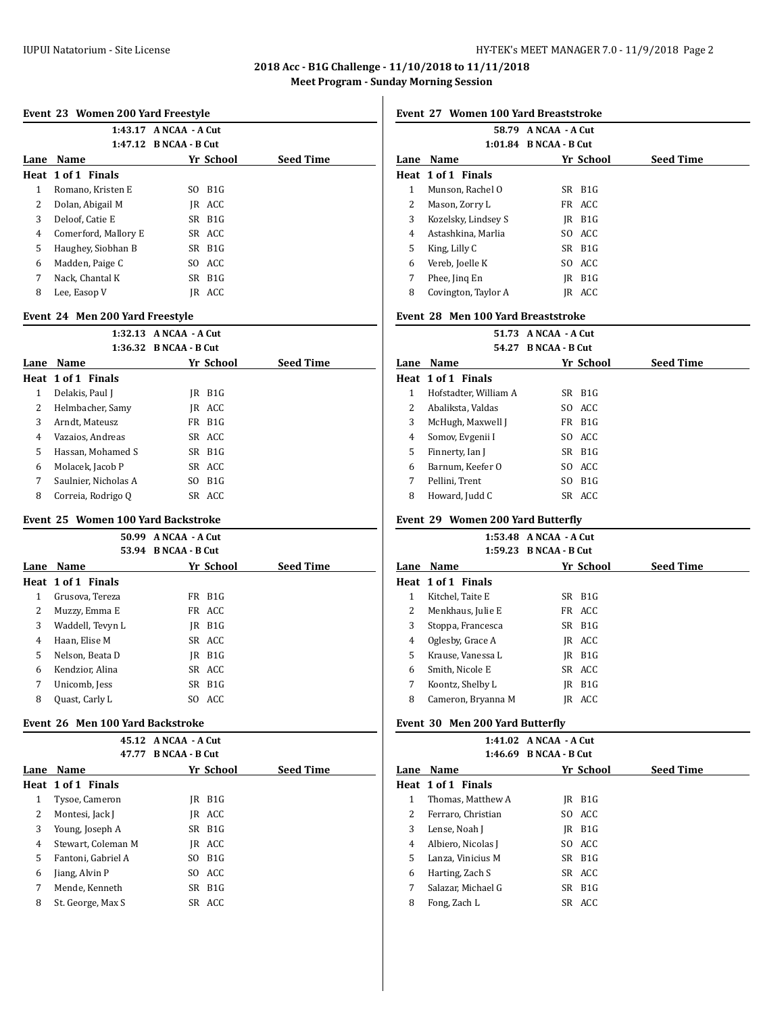## **2018 Acc - B1G Challenge - 11/10/2018 to 11/11/2018 Meet Program - Sunday Morning Session**

#### **Event 23 Women 200 Yard Freestyle**

|      |                      | 1:43.17 A NCAA - A Cut<br>1:47.12 B NCAA - B Cut |                  |
|------|----------------------|--------------------------------------------------|------------------|
| Lane | Name                 | Yr School                                        | <b>Seed Time</b> |
|      | Heat 1 of 1 Finals   |                                                  |                  |
| 1    | Romano, Kristen E    | B1G<br>SO.                                       |                  |
| 2    | Dolan, Abigail M     | IR ACC                                           |                  |
| 3    | Deloof, Catie E      | SR B1G                                           |                  |
| 4    | Comerford, Mallory E | SR ACC                                           |                  |
| 5    | Haughey, Siobhan B   | SR B1G                                           |                  |
| 6    | Madden, Paige C      | SO ACC                                           |                  |
| 7    | Nack, Chantal K      | SR B1G                                           |                  |
| 8    | Lee, Easop V         | ACC<br>IR                                        |                  |
|      |                      |                                                  |                  |

#### **Event 24 Men 200 Yard Freestyle**

|      |                      | $1:32.13$ ANCAA - A Cut |                    |                  |  |
|------|----------------------|-------------------------|--------------------|------------------|--|
|      |                      | 1:36.32 B NCAA - B Cut  |                    |                  |  |
| Lane | Name                 |                         | Yr School          | <b>Seed Time</b> |  |
|      | Heat 1 of 1 Finals   |                         |                    |                  |  |
| 1    | Delakis, Paul J      | IR                      | B <sub>1</sub> G   |                  |  |
| 2    | Helmbacher, Samy     |                         | IR ACC             |                  |  |
| 3    | Arndt, Mateusz       |                         | FR B <sub>1G</sub> |                  |  |
| 4    | Vazaios, Andreas     |                         | SR ACC             |                  |  |
| 5.   | Hassan. Mohamed S    |                         | SR B1G             |                  |  |
| 6    | Molacek, Jacob P     |                         | SR ACC             |                  |  |
| 7    | Saulnier, Nicholas A |                         | SO B <sub>1G</sub> |                  |  |
| 8    | Correia, Rodrigo Q   |                         | SR ACC             |                  |  |
|      |                      |                         |                    |                  |  |

## **Event 25 Women 100 Yard Backstroke**

|      | 50.99              | A NCAA - A Cut               |            |                  |
|------|--------------------|------------------------------|------------|------------------|
|      | 53.94              | <b>B</b> NCAA - <b>B</b> Cut |            |                  |
| Lane | Name               |                              | Yr School  | <b>Seed Time</b> |
|      | Heat 1 of 1 Finals |                              |            |                  |
| 1    | Grusova, Tereza    |                              | FR B1G     |                  |
| 2    | Muzzy, Emma E      |                              | FR ACC     |                  |
| 3    | Waddell, Tevyn L   | IR                           | B1G        |                  |
| 4    | Haan, Elise M      |                              | SR ACC     |                  |
| 5    | Nelson, Beata D    | IR                           | B1G        |                  |
| 6    | Kendzior, Alina    |                              | SR ACC     |                  |
| 7    | Unicomb, Jess      |                              | $SR$ $B1G$ |                  |
| 8    | Quast, Carly L     |                              | SO ACC     |                  |

#### **Event 26 Men 100 Yard Backstroke**

|      |                    | 45.12 A NCAA - A Cut  |           |                  |  |
|------|--------------------|-----------------------|-----------|------------------|--|
|      | 47.77              | <b>B NCAA - B Cut</b> |           |                  |  |
| Lane | Name               |                       | Yr School | <b>Seed Time</b> |  |
|      | Heat 1 of 1 Finals |                       |           |                  |  |
| 1    | Tysoe, Cameron     | IR                    | B1G       |                  |  |
| 2    | Montesi, Jack J    |                       | IR ACC    |                  |  |
| 3    | Young, Joseph A    |                       | SR B1G    |                  |  |
| 4    | Stewart, Coleman M |                       | IR ACC    |                  |  |
| 5    | Fantoni, Gabriel A |                       | SO B1G    |                  |  |
| 6    | Jiang, Alvin P     |                       | SO ACC    |                  |  |
| 7    | Mende, Kenneth     |                       | SR B1G    |                  |  |
| 8    | St. George, Max S  |                       | SR ACC    |                  |  |
|      |                    |                       |           |                  |  |

**Event 27 Women 100 Yard Breaststroke**

|      | A NCAA - A Cut<br>58.79<br>1:01.84 B NCAA - B Cut |  |                    |                  |  |
|------|---------------------------------------------------|--|--------------------|------------------|--|
| Lane | Name                                              |  | Yr School          | <b>Seed Time</b> |  |
|      | Heat 1 of 1 Finals                                |  |                    |                  |  |
| 1    | Munson, Rachel O                                  |  | SR B <sub>1G</sub> |                  |  |
| 2    | Mason, Zorry L                                    |  | FR ACC             |                  |  |
| 3    | Kozelsky, Lindsey S                               |  | IR B1G             |                  |  |
| 4    | Astashkina, Marlia                                |  | SO ACC             |                  |  |
| 5    | King, Lilly C                                     |  | $SR$ $B1G$         |                  |  |
| 6    | Vereb, Joelle K                                   |  | SO ACC             |                  |  |
| 7    | Phee, Jing En                                     |  | IR B1G             |                  |  |
| 8    | Covington, Taylor A                               |  | IR ACC             |                  |  |

## **Event 28 Men 100 Yard Breaststroke**

#### **51.73 A NCAA - A Cut 54.27 B NCAA - B Cut**

|   | <b>Lane Name</b>      | Yr School          | <b>Seed Time</b> |
|---|-----------------------|--------------------|------------------|
|   | Heat 1 of 1 Finals    |                    |                  |
| 1 | Hofstadter, William A | SR B <sub>1G</sub> |                  |
| 2 | Abaliksta, Valdas     | SO ACC             |                  |
| 3 | McHugh, Maxwell J     | FR B1G             |                  |
| 4 | Somov, Evgenii I      | SO ACC             |                  |
| 5 | Finnerty, Ian J       | SR B1G             |                  |
| 6 | Barnum, Keefer O      | SO ACC             |                  |
| 7 | Pellini, Trent        | SO B1G             |                  |
| 8 | Howard, Judd C        | SR ACC             |                  |
|   |                       |                    |                  |

#### **Event 29 Women 200 Yard Butterfly**

|              |                    | 1:53.48 A NCAA - A Cut |            |                  |
|--------------|--------------------|------------------------|------------|------------------|
|              |                    | 1:59.23 B NCAA - B Cut |            |                  |
| Lane         | Name               |                        | Yr School  | <b>Seed Time</b> |
|              | Heat 1 of 1 Finals |                        |            |                  |
| $\mathbf{1}$ | Kitchel. Taite E   |                        | $SR$ $B1G$ |                  |
| 2            | Menkhaus, Julie E  |                        | FR ACC     |                  |
| 3            | Stoppa, Francesca  |                        | $SR$ $B1G$ |                  |
| 4            | Oglesby, Grace A   |                        | IR ACC     |                  |
| 5            | Krause, Vanessa L  |                        | IR B1G     |                  |
| 6            | Smith. Nicole E    |                        | SR ACC     |                  |
| 7            | Koontz, Shelby L   | IR                     | B1G        |                  |
| 8            | Cameron, Bryanna M | IR                     | ACC        |                  |

## **Event 30 Men 200 Yard Butterfly**

|      |                    | $1:41.02$ ANCAA - A Cut |                    |                  |
|------|--------------------|-------------------------|--------------------|------------------|
|      |                    | 1:46.69 B NCAA - B Cut  |                    |                  |
| Lane | <b>Name</b>        |                         | Yr School          | <b>Seed Time</b> |
|      | Heat 1 of 1 Finals |                         |                    |                  |
| 1    | Thomas, Matthew A  | IR                      | B1G                |                  |
| 2    | Ferraro, Christian |                         | SO ACC             |                  |
| 3    | Lense, Noah J      |                         | IR B1G             |                  |
| 4    | Albiero, Nicolas J |                         | SO ACC             |                  |
| 5    | Lanza, Vinicius M  |                         | SR B <sub>1G</sub> |                  |
| 6    | Harting, Zach S    |                         | SR ACC             |                  |
| 7    | Salazar, Michael G |                         | SR B1G             |                  |
| 8    | Fong, Zach L       |                         | SR ACC             |                  |